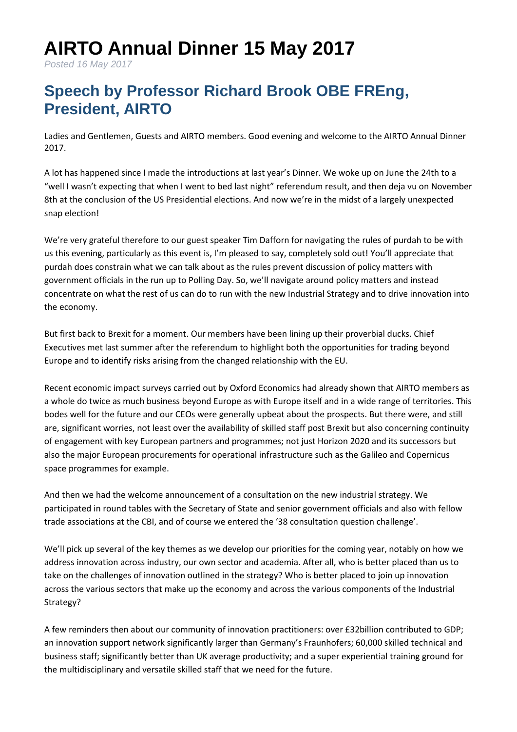## **AIRTO Annual Dinner 15 May 2017**

*Posted 16 May 2017*

## **Speech by Professor Richard Brook OBE FREng, President, AIRTO**

Ladies and Gentlemen, Guests and AIRTO members. Good evening and welcome to the AIRTO Annual Dinner 2017.

A lot has happened since I made the introductions at last year's Dinner. We woke up on June the 24th to a "well I wasn't expecting that when I went to bed last night" referendum result, and then deja vu on November 8th at the conclusion of the US Presidential elections. And now we're in the midst of a largely unexpected snap election!

We're very grateful therefore to our guest speaker Tim Dafforn for navigating the rules of purdah to be with us this evening, particularly as this event is, I'm pleased to say, completely sold out! You'll appreciate that purdah does constrain what we can talk about as the rules prevent discussion of policy matters with government officials in the run up to Polling Day. So, we'll navigate around policy matters and instead concentrate on what the rest of us can do to run with the new Industrial Strategy and to drive innovation into the economy.

But first back to Brexit for a moment. Our members have been lining up their proverbial ducks. Chief Executives met last summer after the referendum to highlight both the opportunities for trading beyond Europe and to identify risks arising from the changed relationship with the EU.

Recent economic impact surveys carried out by Oxford Economics had already shown that AIRTO members as a whole do twice as much business beyond Europe as with Europe itself and in a wide range of territories. This bodes well for the future and our CEOs were generally upbeat about the prospects. But there were, and still are, significant worries, not least over the availability of skilled staff post Brexit but also concerning continuity of engagement with key European partners and programmes; not just Horizon 2020 and its successors but also the major European procurements for operational infrastructure such as the Galileo and Copernicus space programmes for example.

And then we had the welcome announcement of a consultation on the new industrial strategy. We participated in round tables with the Secretary of State and senior government officials and also with fellow trade associations at the CBI, and of course we entered the '38 consultation question challenge'.

We'll pick up several of the key themes as we develop our priorities for the coming year, notably on how we address innovation across industry, our own sector and academia. After all, who is better placed than us to take on the challenges of innovation outlined in the strategy? Who is better placed to join up innovation across the various sectors that make up the economy and across the various components of the Industrial Strategy?

A few reminders then about our community of innovation practitioners: over £32billion contributed to GDP; an innovation support network significantly larger than Germany's Fraunhofers; 60,000 skilled technical and business staff; significantly better than UK average productivity; and a super experiential training ground for the multidisciplinary and versatile skilled staff that we need for the future.